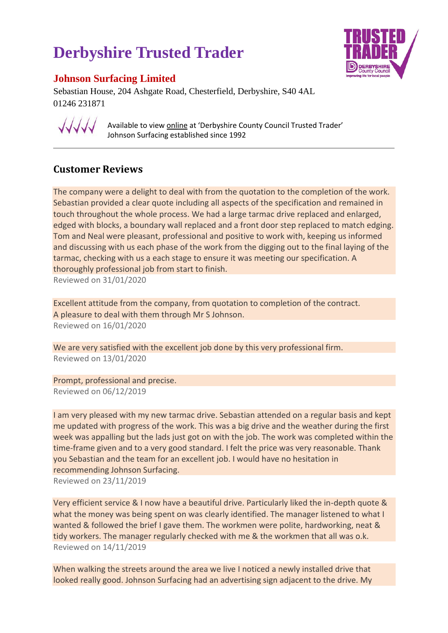## **Derbyshire Trusted Trader**



## **Johnson Surfacing Limited**

Sebastian House, 204 Ashgate Road, Chesterfield, Derbyshire, S40 4AL 01246 231871



Available to view online at 'Derbyshire County Council Trusted Trader' Johnson Surfacing established since 1992

## **Customer Reviews**

The company were a delight to deal with from the quotation to the completion of the work. Sebastian provided a clear quote including all aspects of the specification and remained in touch throughout the whole process. We had a large tarmac drive replaced and enlarged, edged with blocks, a boundary wall replaced and a front door step replaced to match edging. Tom and Neal were pleasant, professional and positive to work with, keeping us informed and discussing with us each phase of the work from the digging out to the final laying of the tarmac, checking with us a each stage to ensure it was meeting our specification. A thoroughly professional job from start to finish. Reviewed on 31/01/2020

Excellent attitude from the company, from quotation to completion of the contract. A pleasure to deal with them through Mr S Johnson. Reviewed on 16/01/2020

We are very satisfied with the excellent job done by this very professional firm. Reviewed on 13/01/2020

Prompt, professional and precise. Reviewed on 06/12/2019

I am very pleased with my new tarmac drive. Sebastian attended on a regular basis and kept me updated with progress of the work. This was a big drive and the weather during the first week was appalling but the lads just got on with the job. The work was completed within the time-frame given and to a very good standard. I felt the price was very reasonable. Thank you Sebastian and the team for an excellent job. I would have no hesitation in recommending Johnson Surfacing.

Reviewed on 23/11/2019

Very efficient service & I now have a beautiful drive. Particularly liked the in-depth quote & what the money was being spent on was clearly identified. The manager listened to what I wanted & followed the brief I gave them. The workmen were polite, hardworking, neat & tidy workers. The manager regularly checked with me & the workmen that all was o.k. Reviewed on 14/11/2019

When walking the streets around the area we live I noticed a newly installed drive that looked really good. Johnson Surfacing had an advertising sign adjacent to the drive. My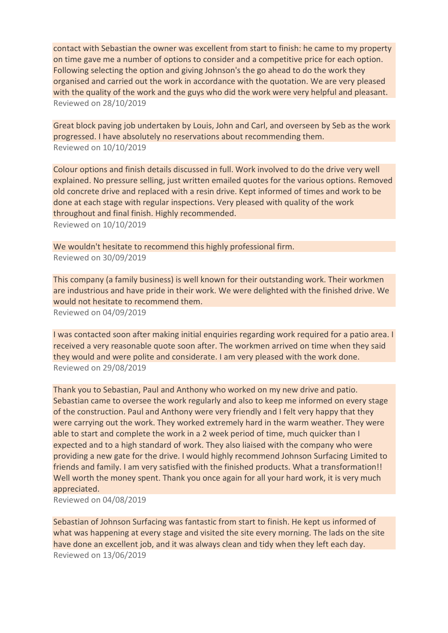contact with Sebastian the owner was excellent from start to finish: he came to my property on time gave me a number of options to consider and a competitive price for each option. Following selecting the option and giving Johnson's the go ahead to do the work they organised and carried out the work in accordance with the quotation. We are very pleased with the quality of the work and the guys who did the work were very helpful and pleasant. Reviewed on 28/10/2019

Great block paving job undertaken by Louis, John and Carl, and overseen by Seb as the work progressed. I have absolutely no reservations about recommending them. Reviewed on 10/10/2019

Colour options and finish details discussed in full. Work involved to do the drive very well explained. No pressure selling, just written emailed quotes for the various options. Removed old concrete drive and replaced with a resin drive. Kept informed of times and work to be done at each stage with regular inspections. Very pleased with quality of the work throughout and final finish. Highly recommended.

Reviewed on 10/10/2019

We wouldn't hesitate to recommend this highly professional firm. Reviewed on 30/09/2019

This company (a family business) is well known for their outstanding work. Their workmen are industrious and have pride in their work. We were delighted with the finished drive. We would not hesitate to recommend them. Reviewed on 04/09/2019

I was contacted soon after making initial enquiries regarding work required for a patio area. I received a very reasonable quote soon after. The workmen arrived on time when they said they would and were polite and considerate. I am very pleased with the work done.

Reviewed on 29/08/2019

Thank you to Sebastian, Paul and Anthony who worked on my new drive and patio. Sebastian came to oversee the work regularly and also to keep me informed on every stage of the construction. Paul and Anthony were very friendly and I felt very happy that they were carrying out the work. They worked extremely hard in the warm weather. They were able to start and complete the work in a 2 week period of time, much quicker than I expected and to a high standard of work. They also liaised with the company who were providing a new gate for the drive. I would highly recommend Johnson Surfacing Limited to friends and family. I am very satisfied with the finished products. What a transformation!! Well worth the money spent. Thank you once again for all your hard work, it is very much appreciated.

Reviewed on 04/08/2019

Sebastian of Johnson Surfacing was fantastic from start to finish. He kept us informed of what was happening at every stage and visited the site every morning. The lads on the site have done an excellent job, and it was always clean and tidy when they left each day. Reviewed on 13/06/2019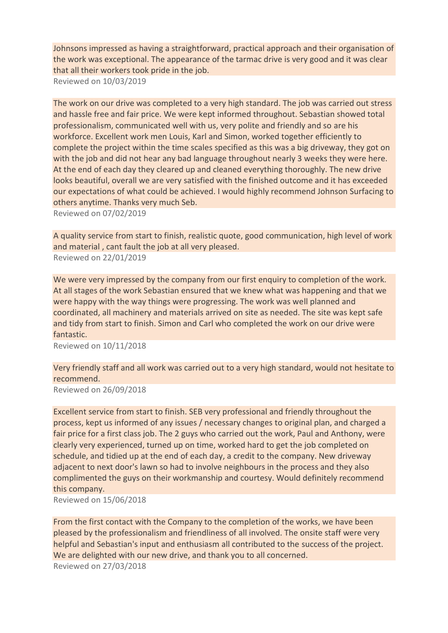Johnsons impressed as having a straightforward, practical approach and their organisation of the work was exceptional. The appearance of the tarmac drive is very good and it was clear that all their workers took pride in the job.

Reviewed on 10/03/2019

The work on our drive was completed to a very high standard. The job was carried out stress and hassle free and fair price. We were kept informed throughout. Sebastian showed total professionalism, communicated well with us, very polite and friendly and so are his workforce. Excellent work men Louis, Karl and Simon, worked together efficiently to complete the project within the time scales specified as this was a big driveway, they got on with the job and did not hear any bad language throughout nearly 3 weeks they were here. At the end of each day they cleared up and cleaned everything thoroughly. The new drive looks beautiful, overall we are very satisfied with the finished outcome and it has exceeded our expectations of what could be achieved. I would highly recommend Johnson Surfacing to others anytime. Thanks very much Seb.

Reviewed on 07/02/2019

A quality service from start to finish, realistic quote, good communication, high level of work and material , cant fault the job at all very pleased. Reviewed on 22/01/2019

We were very impressed by the company from our first enquiry to completion of the work. At all stages of the work Sebastian ensured that we knew what was happening and that we were happy with the way things were progressing. The work was well planned and coordinated, all machinery and materials arrived on site as needed. The site was kept safe and tidy from start to finish. Simon and Carl who completed the work on our drive were fantastic.

Reviewed on 10/11/2018

Very friendly staff and all work was carried out to a very high standard, would not hesitate to recommend.

Reviewed on 26/09/2018

Excellent service from start to finish. SEB very professional and friendly throughout the process, kept us informed of any issues / necessary changes to original plan, and charged a fair price for a first class job. The 2 guys who carried out the work, Paul and Anthony, were clearly very experienced, turned up on time, worked hard to get the job completed on schedule, and tidied up at the end of each day, a credit to the company. New driveway adjacent to next door's lawn so had to involve neighbours in the process and they also complimented the guys on their workmanship and courtesy. Would definitely recommend this company.

Reviewed on 15/06/2018

From the first contact with the Company to the completion of the works, we have been pleased by the professionalism and friendliness of all involved. The onsite staff were very helpful and Sebastian's input and enthusiasm all contributed to the success of the project. We are delighted with our new drive, and thank you to all concerned. Reviewed on 27/03/2018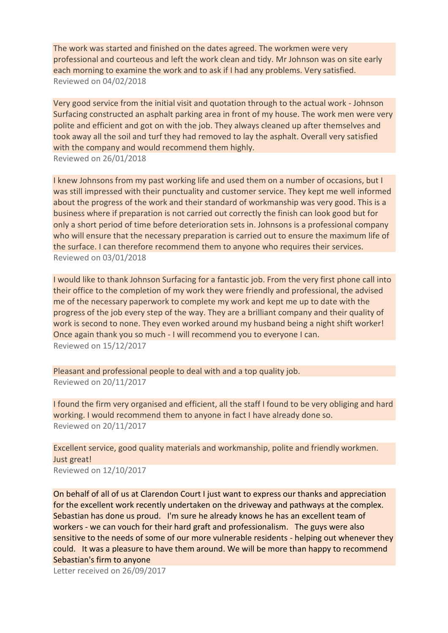The work was started and finished on the dates agreed. The workmen were very professional and courteous and left the work clean and tidy. Mr Johnson was on site early each morning to examine the work and to ask if I had any problems. Very satisfied. Reviewed on 04/02/2018

Very good service from the initial visit and quotation through to the actual work - Johnson Surfacing constructed an asphalt parking area in front of my house. The work men were very polite and efficient and got on with the job. They always cleaned up after themselves and took away all the soil and turf they had removed to lay the asphalt. Overall very satisfied with the company and would recommend them highly. Reviewed on 26/01/2018

I knew Johnsons from my past working life and used them on a number of occasions, but I was still impressed with their punctuality and customer service. They kept me well informed about the progress of the work and their standard of workmanship was very good. This is a business where if preparation is not carried out correctly the finish can look good but for only a short period of time before deterioration sets in. Johnsons is a professional company who will ensure that the necessary preparation is carried out to ensure the maximum life of the surface. I can therefore recommend them to anyone who requires their services. Reviewed on 03/01/2018

I would like to thank Johnson Surfacing for a fantastic job. From the very first phone call into their office to the completion of my work they were friendly and professional, the advised me of the necessary paperwork to complete my work and kept me up to date with the progress of the job every step of the way. They are a brilliant company and their quality of work is second to none. They even worked around my husband being a night shift worker! Once again thank you so much - I will recommend you to everyone I can. Reviewed on 15/12/2017

Pleasant and professional people to deal with and a top quality job. Reviewed on 20/11/2017

I found the firm very organised and efficient, all the staff I found to be very obliging and hard working. I would recommend them to anyone in fact I have already done so. Reviewed on 20/11/2017

Excellent service, good quality materials and workmanship, polite and friendly workmen. Just great!

Reviewed on 12/10/2017

On behalf of all of us at Clarendon Court I just want to express our thanks and appreciation for the excellent work recently undertaken on the driveway and pathways at the complex. Sebastian has done us proud. I'm sure he already knows he has an excellent team of workers - we can vouch for their hard graft and professionalism. The guys were also sensitive to the needs of some of our more vulnerable residents - helping out whenever they could. It was a pleasure to have them around. We will be more than happy to recommend Sebastian's firm to anyone

Letter received on 26/09/2017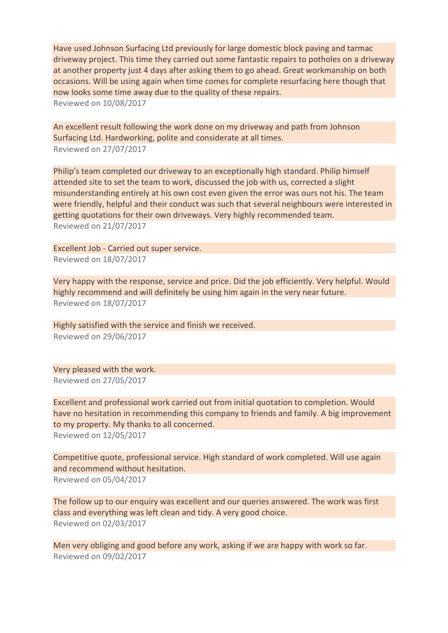Have used Johnson Surfacing Ltd previously for large domestic block paving and tarmac driveway project. This time they carried out some fantastic repairs to potholes on a driveway at another property just 4 days after asking them to go ahead. Great workmanship on both occasions. Will be using again when time comes for complete resurfacing here though that now looks some time away due to the quality of these repairs. Reviewed on 10/08/2017

An excellent result following the work done on my driveway and path from Johnson Surfacing Ltd. Hardworking, polite and considerate at all times. Reviewed on 27/07/2017

Philip's team completed our driveway to an exceptionally high standard. Philip himself attended site to set the team to work, discussed the job with us, corrected a slight misunderstanding entirely at his own cost even given the error was ours not his. The team were friendly, helpful and their conduct was such that several neighbours were interested in getting quotations for their own driveways. Very highly recommended team. Reviewed on 21/07/2017

Excellent Job - Carried out super service. Reviewed on 18/07/2017

Very happy with the response, service and price. Did the job efficiently. Very helpful. Would highly recommend and will definitely be using him again in the very near future. Reviewed on 18/07/2017

Highly satisfied with the service and finish we received. Reviewed on 29/06/2017

Very pleased with the work. Reviewed on 27/05/2017

Excellent and professional work carried out from initial quotation to completion. Would have no hesitation in recommending this company to friends and family. A big improvement to my property. My thanks to all concerned.

Reviewed on 12/05/2017

Competitive quote, professional service. High standard of work completed. Will use again and recommend without hesitation. Reviewed on 05/04/2017

The follow up to our enquiry was excellent and our queries answered. The work was first class and everything was left clean and tidy. A very good choice. Reviewed on 02/03/2017

Men very obliging and good before any work, asking if we are happy with work so far. Reviewed on 09/02/2017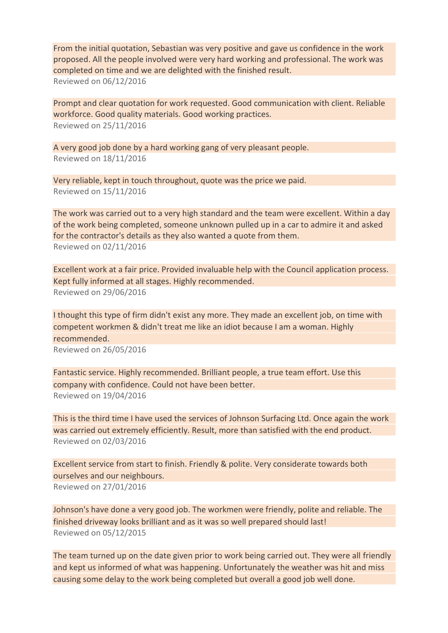From the initial quotation, Sebastian was very positive and gave us confidence in the work proposed. All the people involved were very hard working and professional. The work was completed on time and we are delighted with the finished result. Reviewed on 06/12/2016

Prompt and clear quotation for work requested. Good communication with client. Reliable workforce. Good quality materials. Good working practices. Reviewed on 25/11/2016

A very good job done by a hard working gang of very pleasant people. Reviewed on 18/11/2016

Very reliable, kept in touch throughout, quote was the price we paid. Reviewed on 15/11/2016

The work was carried out to a very high standard and the team were excellent. Within a day of the work being completed, someone unknown pulled up in a car to admire it and asked for the contractor's details as they also wanted a quote from them. Reviewed on 02/11/2016

Excellent work at a fair price. Provided invaluable help with the Council application process. Kept fully informed at all stages. Highly recommended. Reviewed on 29/06/2016

I thought this type of firm didn't exist any more. They made an excellent job, on time with competent workmen & didn't treat me like an idiot because I am a woman. Highly recommended. Reviewed on 26/05/2016

Fantastic service. Highly recommended. Brilliant people, a true team effort. Use this company with confidence. Could not have been better. Reviewed on 19/04/2016

This is the third time I have used the services of Johnson Surfacing Ltd. Once again the work was carried out extremely efficiently. Result, more than satisfied with the end product. Reviewed on 02/03/2016

Excellent service from start to finish. Friendly & polite. Very considerate towards both ourselves and our neighbours. Reviewed on 27/01/2016

Johnson's have done a very good job. The workmen were friendly, polite and reliable. The finished driveway looks brilliant and as it was so well prepared should last! Reviewed on 05/12/2015

The team turned up on the date given prior to work being carried out. They were all friendly and kept us informed of what was happening. Unfortunately the weather was hit and miss causing some delay to the work being completed but overall a good job well done.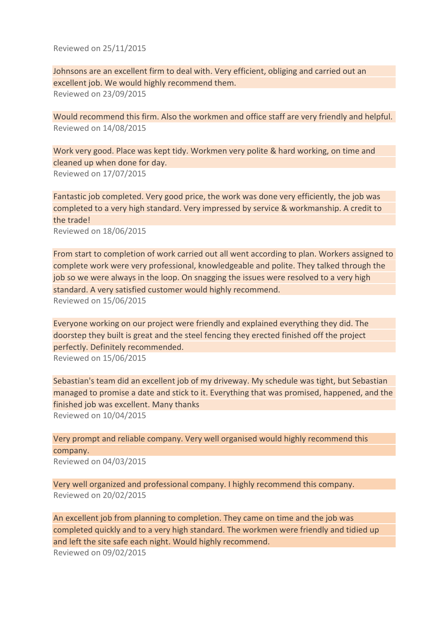Reviewed on 25/11/2015

Johnsons are an excellent firm to deal with. Very efficient, obliging and carried out an excellent job. We would highly recommend them. Reviewed on 23/09/2015

Would recommend this firm. Also the workmen and office staff are very friendly and helpful. Reviewed on 14/08/2015

Work very good. Place was kept tidy. Workmen very polite & hard working, on time and cleaned up when done for day. Reviewed on 17/07/2015

Fantastic job completed. Very good price, the work was done very efficiently, the job was completed to a very high standard. Very impressed by service & workmanship. A credit to the trade!

Reviewed on 18/06/2015

From start to completion of work carried out all went according to plan. Workers assigned to complete work were very professional, knowledgeable and polite. They talked through the job so we were always in the loop. On snagging the issues were resolved to a very high standard. A very satisfied customer would highly recommend. Reviewed on 15/06/2015

Everyone working on our project were friendly and explained everything they did. The doorstep they built is great and the steel fencing they erected finished off the project perfectly. Definitely recommended. Reviewed on 15/06/2015

Sebastian's team did an excellent job of my driveway. My schedule was tight, but Sebastian managed to promise a date and stick to it. Everything that was promised, happened, and the finished job was excellent. Many thanks Reviewed on 10/04/2015

Very prompt and reliable company. Very well organised would highly recommend this company.

Reviewed on 04/03/2015

Very well organized and professional company. I highly recommend this company. Reviewed on 20/02/2015

An excellent job from planning to completion. They came on time and the job was completed quickly and to a very high standard. The workmen were friendly and tidied up and left the site safe each night. Would highly recommend. Reviewed on 09/02/2015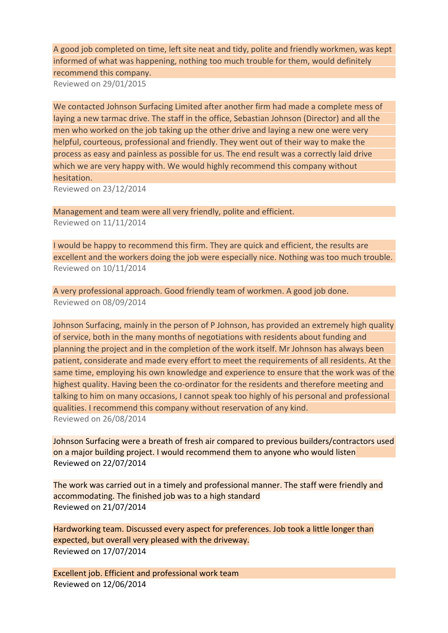A good job completed on time, left site neat and tidy, polite and friendly workmen, was kept informed of what was happening, nothing too much trouble for them, would definitely recommend this company.

Reviewed on 29/01/2015

We contacted Johnson Surfacing Limited after another firm had made a complete mess of laying a new tarmac drive. The staff in the office, Sebastian Johnson (Director) and all the men who worked on the job taking up the other drive and laying a new one were very helpful, courteous, professional and friendly. They went out of their way to make the process as easy and painless as possible for us. The end result was a correctly laid drive which we are very happy with. We would highly recommend this company without hesitation.

Reviewed on 23/12/2014

Management and team were all very friendly, polite and efficient. Reviewed on 11/11/2014

I would be happy to recommend this firm. They are quick and efficient, the results are excellent and the workers doing the job were especially nice. Nothing was too much trouble. Reviewed on 10/11/2014

A very professional approach. Good friendly team of workmen. A good job done. Reviewed on 08/09/2014

Johnson Surfacing, mainly in the person of P Johnson, has provided an extremely high quality of service, both in the many months of negotiations with residents about funding and planning the project and in the completion of the work itself. Mr Johnson has always been patient, considerate and made every effort to meet the requirements of all residents. At the same time, employing his own knowledge and experience to ensure that the work was of the highest quality. Having been the co-ordinator for the residents and therefore meeting and talking to him on many occasions, I cannot speak too highly of his personal and professional qualities. I recommend this company without reservation of any kind. Reviewed on 26/08/2014

Johnson Surfacing were a breath of fresh air compared to previous builders/contractors used on a major building project. I would recommend them to anyone who would listen Reviewed on 22/07/2014

The work was carried out in a timely and professional manner. The staff were friendly and accommodating. The finished job was to a high standard Reviewed on 21/07/2014

Hardworking team. Discussed every aspect for preferences. Job took a little longer than expected, but overall very pleased with the driveway. Reviewed on 17/07/2014

Excellent job. Efficient and professional work team Reviewed on 12/06/2014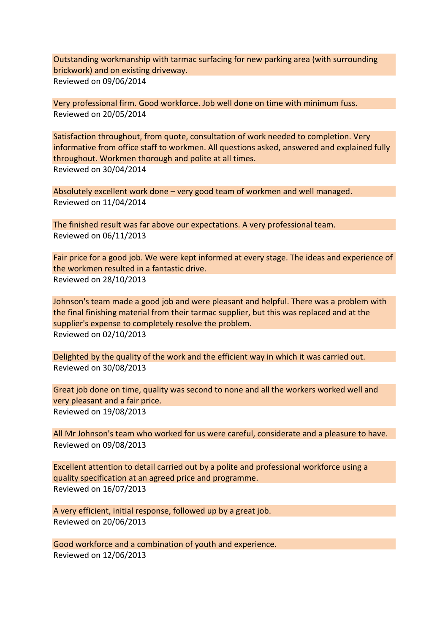Outstanding workmanship with tarmac surfacing for new parking area (with surrounding brickwork) and on existing driveway. Reviewed on 09/06/2014

Very professional firm. Good workforce. Job well done on time with minimum fuss. Reviewed on 20/05/2014

Satisfaction throughout, from quote, consultation of work needed to completion. Very informative from office staff to workmen. All questions asked, answered and explained fully throughout. Workmen thorough and polite at all times. Reviewed on 30/04/2014

Absolutely excellent work done – very good team of workmen and well managed. Reviewed on 11/04/2014

The finished result was far above our expectations. A very professional team. Reviewed on 06/11/2013

Fair price for a good job. We were kept informed at every stage. The ideas and experience of the workmen resulted in a fantastic drive. Reviewed on 28/10/2013

Johnson's team made a good job and were pleasant and helpful. There was a problem with the final finishing material from their tarmac supplier, but this was replaced and at the supplier's expense to completely resolve the problem. Reviewed on 02/10/2013

Delighted by the quality of the work and the efficient way in which it was carried out. Reviewed on 30/08/2013

Great job done on time, quality was second to none and all the workers worked well and very pleasant and a fair price. Reviewed on 19/08/2013

All Mr Johnson's team who worked for us were careful, considerate and a pleasure to have. Reviewed on 09/08/2013

Excellent attention to detail carried out by a polite and professional workforce using a quality specification at an agreed price and programme. Reviewed on 16/07/2013

A very efficient, initial response, followed up by a great job. Reviewed on 20/06/2013

Good workforce and a combination of youth and experience. Reviewed on 12/06/2013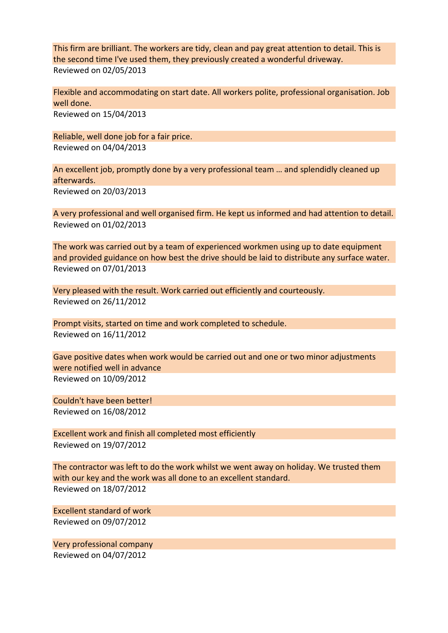This firm are brilliant. The workers are tidy, clean and pay great attention to detail. This is the second time I've used them, they previously created a wonderful driveway. Reviewed on 02/05/2013

Flexible and accommodating on start date. All workers polite, professional organisation. Job well done. Reviewed on 15/04/2013

Reliable, well done job for a fair price. Reviewed on 04/04/2013

An excellent job, promptly done by a very professional team … and splendidly cleaned up afterwards. Reviewed on 20/03/2013

A very professional and well organised firm. He kept us informed and had attention to detail. Reviewed on 01/02/2013

The work was carried out by a team of experienced workmen using up to date equipment and provided guidance on how best the drive should be laid to distribute any surface water. Reviewed on 07/01/2013

Very pleased with the result. Work carried out efficiently and courteously. Reviewed on 26/11/2012

Prompt visits, started on time and work completed to schedule. Reviewed on 16/11/2012

Gave positive dates when work would be carried out and one or two minor adjustments were notified well in advance Reviewed on 10/09/2012

Couldn't have been better! Reviewed on 16/08/2012

Excellent work and finish all completed most efficiently Reviewed on 19/07/2012

The contractor was left to do the work whilst we went away on holiday. We trusted them with our key and the work was all done to an excellent standard. Reviewed on 18/07/2012

Excellent standard of work Reviewed on 09/07/2012

Very professional company Reviewed on 04/07/2012